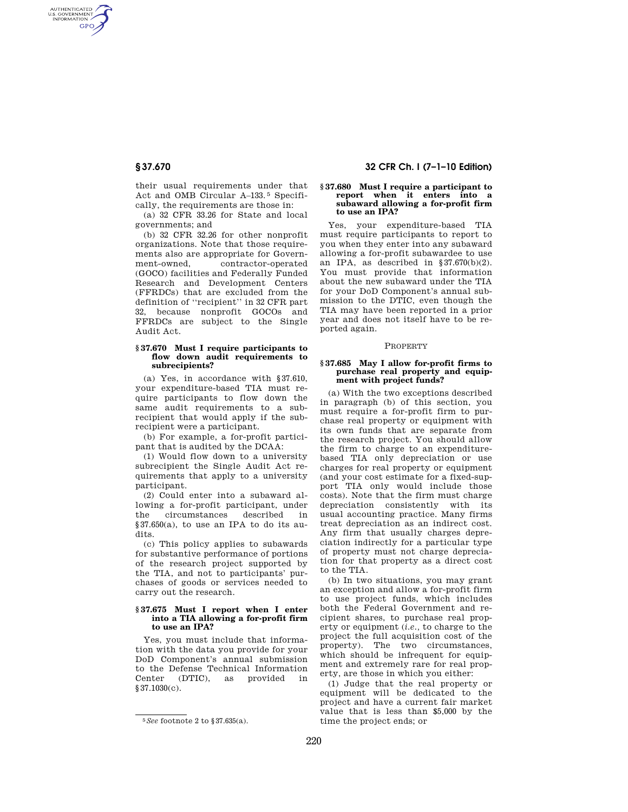AUTHENTICATED<br>U.S. GOVERNMENT<br>INFORMATION **GPO** 

> their usual requirements under that Act and OMB Circular A–133. 5 Specifically, the requirements are those in:

> (a) 32 CFR 33.26 for State and local governments; and

(b) 32 CFR 32.26 for other nonprofit organizations. Note that those requirements also are appropriate for Government-owned, contractor-operated (GOCO) facilities and Federally Funded Research and Development Centers (FFRDCs) that are excluded from the definition of ''recipient'' in 32 CFR part 32, because nonprofit GOCOs and FFRDCs are subject to the Single Audit Act.

## **§ 37.670 Must I require participants to flow down audit requirements to subrecipients?**

(a) Yes, in accordance with §37.610, your expenditure-based TIA must require participants to flow down the same audit requirements to a subrecipient that would apply if the subrecipient were a participant.

(b) For example, a for-profit participant that is audited by the DCAA:

(1) Would flow down to a university subrecipient the Single Audit Act requirements that apply to a university participant.

(2) Could enter into a subaward allowing a for-profit participant, under the circumstances described in  $§37.650(a)$ , to use an IPA to do its audits.

(c) This policy applies to subawards for substantive performance of portions of the research project supported by the TIA, and not to participants' purchases of goods or services needed to carry out the research.

## **§ 37.675 Must I report when I enter into a TIA allowing a for-profit firm to use an IPA?**

Yes, you must include that information with the data you provide for your DoD Component's annual submission to the Defense Technical Information Center (DTIC), as provided in §37.1030(c).

# **§ 37.670 32 CFR Ch. I (7–1–10 Edition)**

## **§ 37.680 Must I require a participant to report when it enters into a subaward allowing a for-profit firm to use an IPA?**

Yes, your expenditure-based TIA must require participants to report to you when they enter into any subaward allowing a for-profit subawardee to use an IPA, as described in  $$37.670(b)(2)$ . You must provide that information about the new subaward under the TIA for your DoD Component's annual submission to the DTIC, even though the TIA may have been reported in a prior year and does not itself have to be reported again.

## PROPERTY

## **§ 37.685 May I allow for-profit firms to purchase real property and equipment with project funds?**

(a) With the two exceptions described in paragraph (b) of this section, you must require a for-profit firm to purchase real property or equipment with its own funds that are separate from the research project. You should allow the firm to charge to an expenditurebased TIA only depreciation or use charges for real property or equipment (and your cost estimate for a fixed-support TIA only would include those costs). Note that the firm must charge depreciation consistently with its usual accounting practice. Many firms treat depreciation as an indirect cost. Any firm that usually charges depreciation indirectly for a particular type of property must not charge depreciation for that property as a direct cost to the TIA.

(b) In two situations, you may grant an exception and allow a for-profit firm to use project funds, which includes both the Federal Government and recipient shares, to purchase real property or equipment (*i.e.,* to charge to the project the full acquisition cost of the property). The two circumstances, which should be infrequent for equipment and extremely rare for real property, are those in which you either:

(1) Judge that the real property or equipment will be dedicated to the project and have a current fair market value that is less than \$5,000 by the time the project ends; or

<sup>5</sup>*See* footnote 2 to §37.635(a).